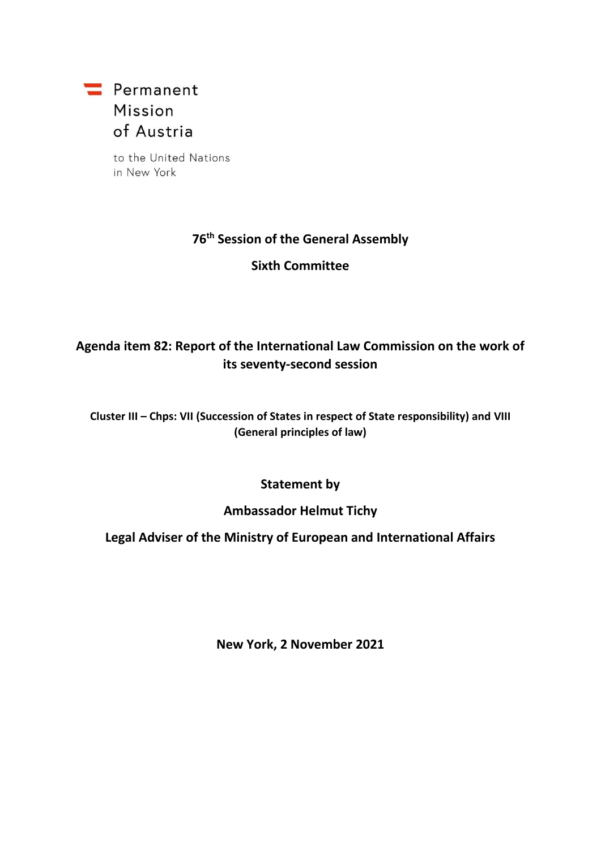

to the United Nations in New York

# **76 th Session of the General Assembly**

**Sixth Committee**

# **Agenda item 82: Report of the International Law Commission on the work of its seventy-second session**

#### **Cluster III – Chps: VII (Succession of States in respect of State responsibility) and VIII (General principles of law)**

### **Statement by**

#### **Ambassador Helmut Tichy**

## **Legal Adviser of the Ministry of European and International Affairs**

**New York, 2 November 2021**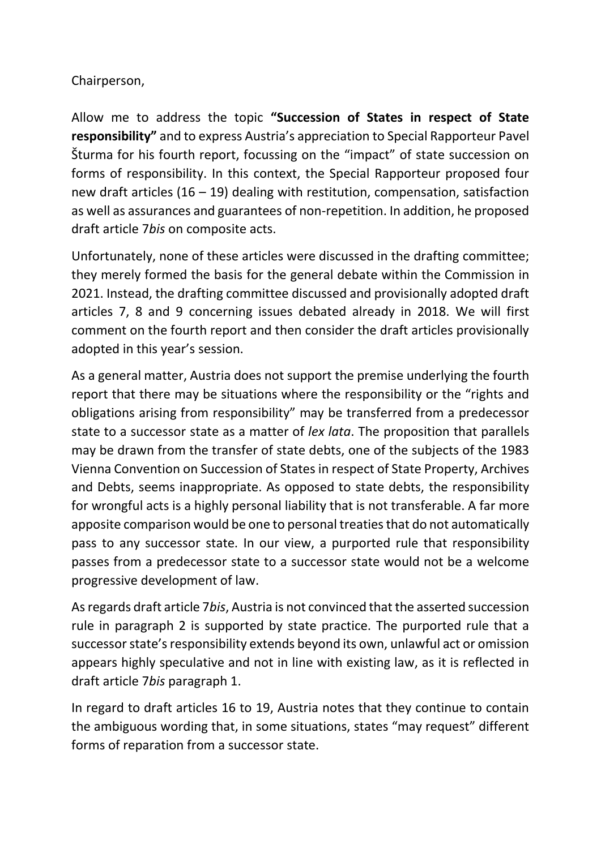# Chairperson,

Allow me to address the topic **"Succession of States in respect of State responsibility"** and to express Austria's appreciation to Special Rapporteur Pavel Šturma for his fourth report, focussing on the "impact" of state succession on forms of responsibility. In this context, the Special Rapporteur proposed four new draft articles (16 – 19) dealing with restitution, compensation, satisfaction as well as assurances and guarantees of non-repetition. In addition, he proposed draft article 7*bis* on composite acts.

Unfortunately, none of these articles were discussed in the drafting committee; they merely formed the basis for the general debate within the Commission in 2021. Instead, the drafting committee discussed and provisionally adopted draft articles 7, 8 and 9 concerning issues debated already in 2018. We will first comment on the fourth report and then consider the draft articles provisionally adopted in this year's session.

As a general matter, Austria does not support the premise underlying the fourth report that there may be situations where the responsibility or the "rights and obligations arising from responsibility" may be transferred from a predecessor state to a successor state as a matter of *lex lata*. The proposition that parallels may be drawn from the transfer of state debts, one of the subjects of the 1983 Vienna Convention on Succession of States in respect of State Property, Archives and Debts, seems inappropriate. As opposed to state debts, the responsibility for wrongful acts is a highly personal liability that is not transferable. A far more apposite comparison would be one to personal treaties that do not automatically pass to any successor state. In our view, a purported rule that responsibility passes from a predecessor state to a successor state would not be a welcome progressive development of law.

As regards draft article 7*bis*, Austria is not convinced that the asserted succession rule in paragraph 2 is supported by state practice. The purported rule that a successor state's responsibility extends beyond its own, unlawful act or omission appears highly speculative and not in line with existing law, as it is reflected in draft article 7*bis* paragraph 1.

In regard to draft articles 16 to 19, Austria notes that they continue to contain the ambiguous wording that, in some situations, states "may request" different forms of reparation from a successor state.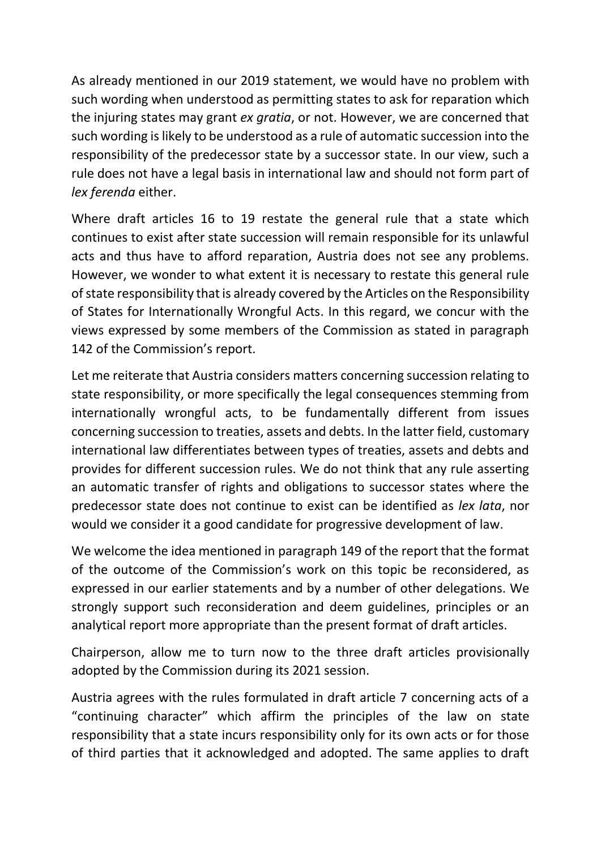As already mentioned in our 2019 statement, we would have no problem with such wording when understood as permitting states to ask for reparation which the injuring states may grant *ex gratia*, or not. However, we are concerned that such wording is likely to be understood as a rule of automatic succession into the responsibility of the predecessor state by a successor state. In our view, such a rule does not have a legal basis in international law and should not form part of *lex ferenda* either.

Where draft articles 16 to 19 restate the general rule that a state which continues to exist after state succession will remain responsible for its unlawful acts and thus have to afford reparation, Austria does not see any problems. However, we wonder to what extent it is necessary to restate this general rule of state responsibility that is already covered by the Articles on the Responsibility of States for Internationally Wrongful Acts. In this regard, we concur with the views expressed by some members of the Commission as stated in paragraph 142 of the Commission's report.

Let me reiterate that Austria considers matters concerning succession relating to state responsibility, or more specifically the legal consequences stemming from internationally wrongful acts, to be fundamentally different from issues concerning succession to treaties, assets and debts. In the latter field, customary international law differentiates between types of treaties, assets and debts and provides for different succession rules. We do not think that any rule asserting an automatic transfer of rights and obligations to successor states where the predecessor state does not continue to exist can be identified as *lex lata*, nor would we consider it a good candidate for progressive development of law.

We welcome the idea mentioned in paragraph 149 of the report that the format of the outcome of the Commission's work on this topic be reconsidered, as expressed in our earlier statements and by a number of other delegations. We strongly support such reconsideration and deem guidelines, principles or an analytical report more appropriate than the present format of draft articles.

Chairperson, allow me to turn now to the three draft articles provisionally adopted by the Commission during its 2021 session.

Austria agrees with the rules formulated in draft article 7 concerning acts of a "continuing character" which affirm the principles of the law on state responsibility that a state incurs responsibility only for its own acts or for those of third parties that it acknowledged and adopted. The same applies to draft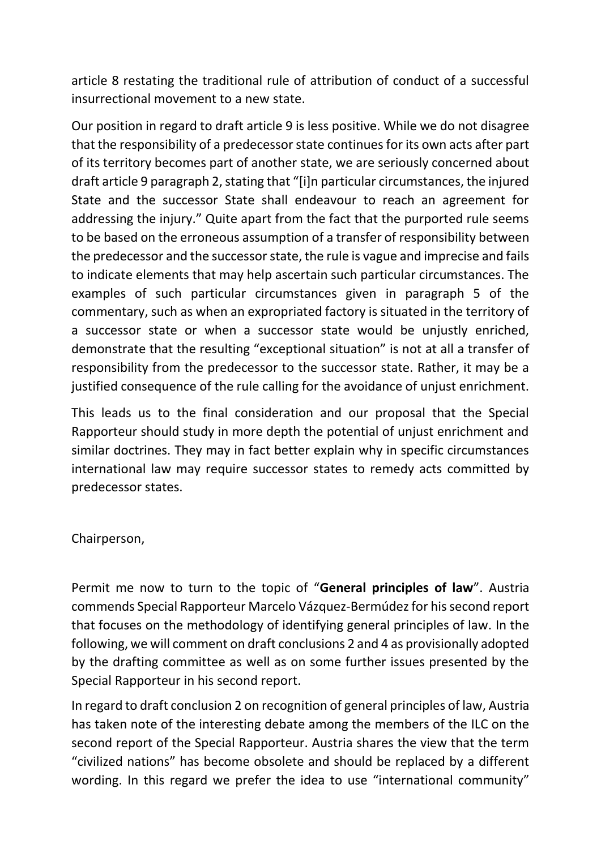article 8 restating the traditional rule of attribution of conduct of a successful insurrectional movement to a new state.

Our position in regard to draft article 9 is less positive. While we do not disagree that the responsibility of a predecessor state continues for its own acts after part of its territory becomes part of another state, we are seriously concerned about draft article 9 paragraph 2, stating that "[i]n particular circumstances, the injured State and the successor State shall endeavour to reach an agreement for addressing the injury." Quite apart from the fact that the purported rule seems to be based on the erroneous assumption of a transfer of responsibility between the predecessor and the successor state, the rule is vague and imprecise and fails to indicate elements that may help ascertain such particular circumstances. The examples of such particular circumstances given in paragraph 5 of the commentary, such as when an expropriated factory is situated in the territory of a successor state or when a successor state would be unjustly enriched, demonstrate that the resulting "exceptional situation" is not at all a transfer of responsibility from the predecessor to the successor state. Rather, it may be a justified consequence of the rule calling for the avoidance of unjust enrichment.

This leads us to the final consideration and our proposal that the Special Rapporteur should study in more depth the potential of unjust enrichment and similar doctrines. They may in fact better explain why in specific circumstances international law may require successor states to remedy acts committed by predecessor states.

Chairperson,

Permit me now to turn to the topic of "**General principles of law**". Austria commends Special Rapporteur Marcelo Vázquez-Bermúdez for his second report that focuses on the methodology of identifying general principles of law. In the following, we will comment on draft conclusions 2 and 4 as provisionally adopted by the drafting committee as well as on some further issues presented by the Special Rapporteur in his second report.

In regard to draft conclusion 2 on recognition of general principles of law, Austria has taken note of the interesting debate among the members of the ILC on the second report of the Special Rapporteur. Austria shares the view that the term "civilized nations" has become obsolete and should be replaced by a different wording. In this regard we prefer the idea to use "international community"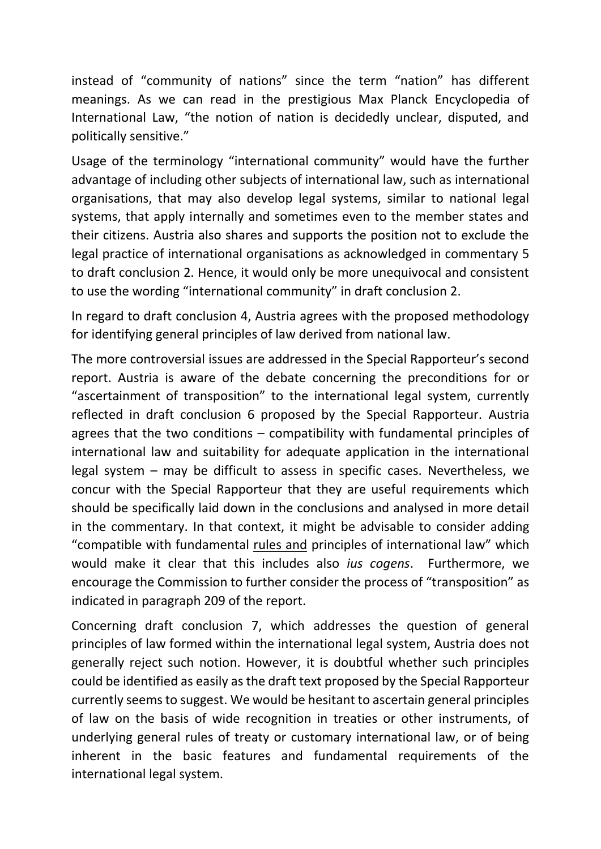instead of "community of nations" since the term "nation" has different meanings. As we can read in the prestigious Max Planck Encyclopedia of International Law, "the notion of nation is decidedly unclear, disputed, and politically sensitive."

Usage of the terminology "international community" would have the further advantage of including other subjects of international law, such as international organisations, that may also develop legal systems, similar to national legal systems, that apply internally and sometimes even to the member states and their citizens. Austria also shares and supports the position not to exclude the legal practice of international organisations as acknowledged in commentary 5 to draft conclusion 2. Hence, it would only be more unequivocal and consistent to use the wording "international community" in draft conclusion 2.

In regard to draft conclusion 4, Austria agrees with the proposed methodology for identifying general principles of law derived from national law.

The more controversial issues are addressed in the Special Rapporteur's second report. Austria is aware of the debate concerning the preconditions for or "ascertainment of transposition" to the international legal system, currently reflected in draft conclusion 6 proposed by the Special Rapporteur. Austria agrees that the two conditions – compatibility with fundamental principles of international law and suitability for adequate application in the international legal system – may be difficult to assess in specific cases. Nevertheless, we concur with the Special Rapporteur that they are useful requirements which should be specifically laid down in the conclusions and analysed in more detail in the commentary. In that context, it might be advisable to consider adding "compatible with fundamental rules and principles of international law" which would make it clear that this includes also *ius cogens*. Furthermore, we encourage the Commission to further consider the process of "transposition" as indicated in paragraph 209 of the report.

Concerning draft conclusion 7, which addresses the question of general principles of law formed within the international legal system, Austria does not generally reject such notion. However, it is doubtful whether such principles could be identified as easily as the draft text proposed by the Special Rapporteur currently seems to suggest. We would be hesitant to ascertain general principles of law on the basis of wide recognition in treaties or other instruments, of underlying general rules of treaty or customary international law, or of being inherent in the basic features and fundamental requirements of the international legal system.